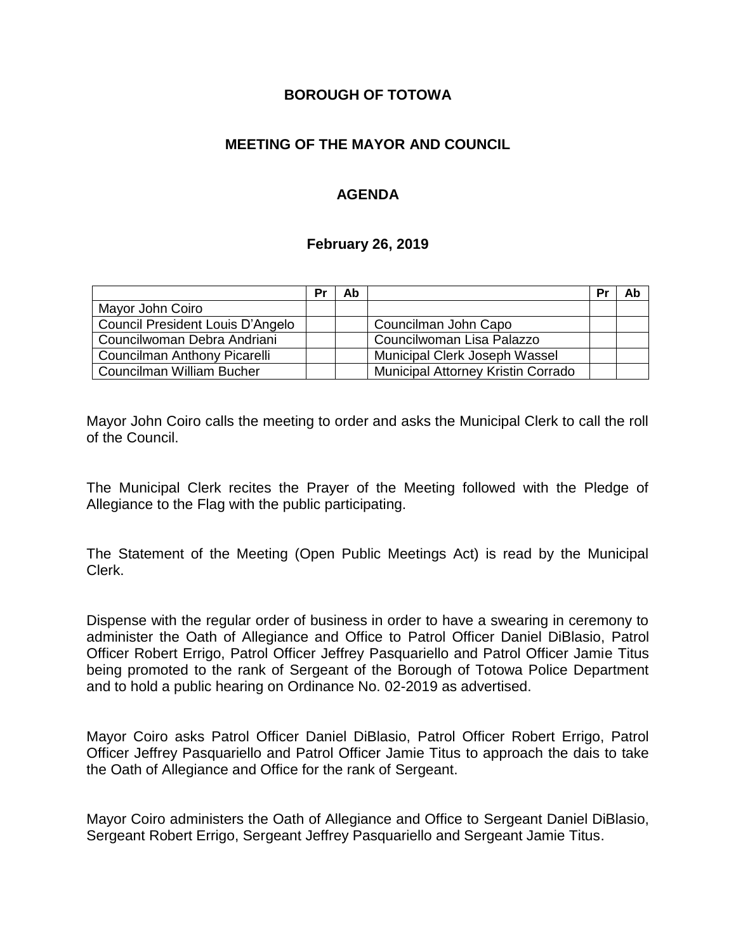### **BOROUGH OF TOTOWA**

## **MEETING OF THE MAYOR AND COUNCIL**

## **AGENDA**

#### **February 26, 2019**

|                                  | Pr | Ab |                                    | Pr | Ab |
|----------------------------------|----|----|------------------------------------|----|----|
| Mayor John Coiro                 |    |    |                                    |    |    |
| Council President Louis D'Angelo |    |    | Councilman John Capo               |    |    |
| Councilwoman Debra Andriani      |    |    | Councilwoman Lisa Palazzo          |    |    |
| Councilman Anthony Picarelli     |    |    | Municipal Clerk Joseph Wassel      |    |    |
| Councilman William Bucher        |    |    | Municipal Attorney Kristin Corrado |    |    |

Mayor John Coiro calls the meeting to order and asks the Municipal Clerk to call the roll of the Council.

The Municipal Clerk recites the Prayer of the Meeting followed with the Pledge of Allegiance to the Flag with the public participating.

The Statement of the Meeting (Open Public Meetings Act) is read by the Municipal Clerk.

Dispense with the regular order of business in order to have a swearing in ceremony to administer the Oath of Allegiance and Office to Patrol Officer Daniel DiBlasio, Patrol Officer Robert Errigo, Patrol Officer Jeffrey Pasquariello and Patrol Officer Jamie Titus being promoted to the rank of Sergeant of the Borough of Totowa Police Department and to hold a public hearing on Ordinance No. 02-2019 as advertised.

Mayor Coiro asks Patrol Officer Daniel DiBlasio, Patrol Officer Robert Errigo, Patrol Officer Jeffrey Pasquariello and Patrol Officer Jamie Titus to approach the dais to take the Oath of Allegiance and Office for the rank of Sergeant.

Mayor Coiro administers the Oath of Allegiance and Office to Sergeant Daniel DiBlasio, Sergeant Robert Errigo, Sergeant Jeffrey Pasquariello and Sergeant Jamie Titus.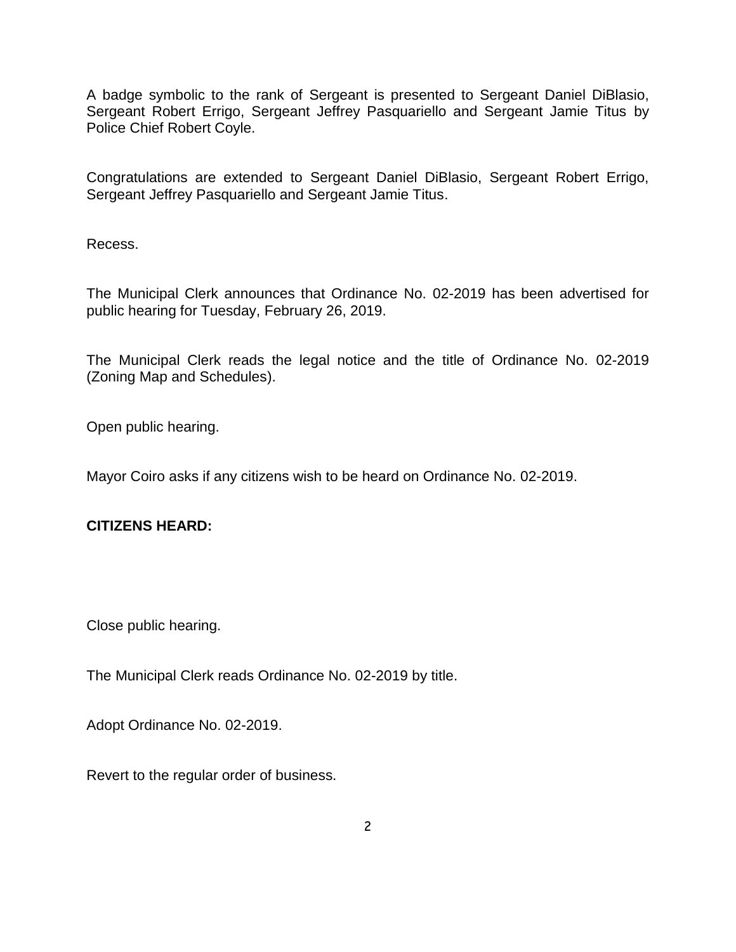A badge symbolic to the rank of Sergeant is presented to Sergeant Daniel DiBlasio, Sergeant Robert Errigo, Sergeant Jeffrey Pasquariello and Sergeant Jamie Titus by Police Chief Robert Coyle.

Congratulations are extended to Sergeant Daniel DiBlasio, Sergeant Robert Errigo, Sergeant Jeffrey Pasquariello and Sergeant Jamie Titus.

Recess.

The Municipal Clerk announces that Ordinance No. 02-2019 has been advertised for public hearing for Tuesday, February 26, 2019.

The Municipal Clerk reads the legal notice and the title of Ordinance No. 02-2019 (Zoning Map and Schedules).

Open public hearing.

Mayor Coiro asks if any citizens wish to be heard on Ordinance No. 02-2019.

**CITIZENS HEARD:**

Close public hearing.

The Municipal Clerk reads Ordinance No. 02-2019 by title.

Adopt Ordinance No. 02-2019.

Revert to the regular order of business.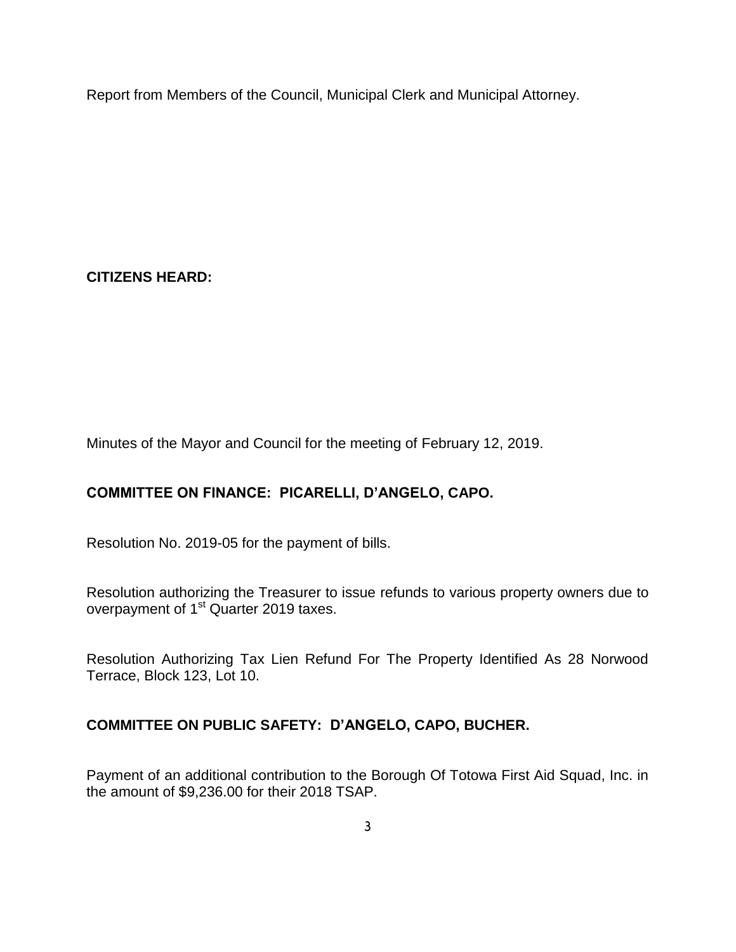Report from Members of the Council, Municipal Clerk and Municipal Attorney.

**CITIZENS HEARD:**

Minutes of the Mayor and Council for the meeting of February 12, 2019.

# **COMMITTEE ON FINANCE: PICARELLI, D'ANGELO, CAPO.**

Resolution No. 2019-05 for the payment of bills.

Resolution authorizing the Treasurer to issue refunds to various property owners due to overpayment of 1<sup>st</sup> Quarter 2019 taxes.

Resolution Authorizing Tax Lien Refund For The Property Identified As 28 Norwood Terrace, Block 123, Lot 10.

# **COMMITTEE ON PUBLIC SAFETY: D'ANGELO, CAPO, BUCHER.**

Payment of an additional contribution to the Borough Of Totowa First Aid Squad, Inc. in the amount of \$9,236.00 for their 2018 TSAP.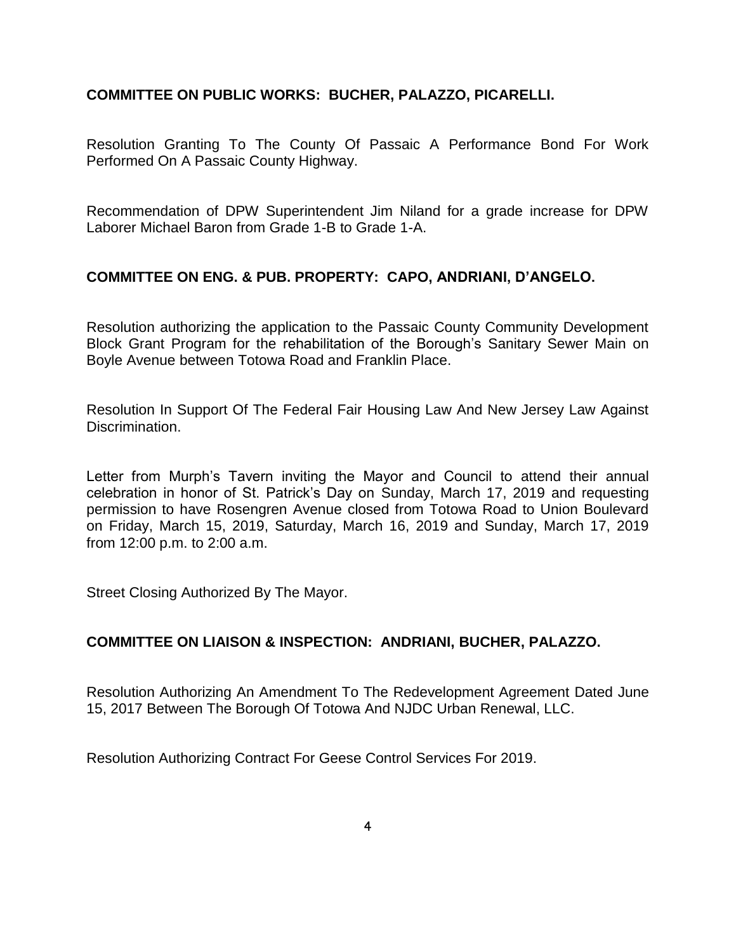## **COMMITTEE ON PUBLIC WORKS: BUCHER, PALAZZO, PICARELLI.**

Resolution Granting To The County Of Passaic A Performance Bond For Work Performed On A Passaic County Highway.

Recommendation of DPW Superintendent Jim Niland for a grade increase for DPW Laborer Michael Baron from Grade 1-B to Grade 1-A.

## **COMMITTEE ON ENG. & PUB. PROPERTY: CAPO, ANDRIANI, D'ANGELO.**

Resolution authorizing the application to the Passaic County Community Development Block Grant Program for the rehabilitation of the Borough's Sanitary Sewer Main on Boyle Avenue between Totowa Road and Franklin Place.

Resolution In Support Of The Federal Fair Housing Law And New Jersey Law Against Discrimination.

Letter from Murph's Tavern inviting the Mayor and Council to attend their annual celebration in honor of St. Patrick's Day on Sunday, March 17, 2019 and requesting permission to have Rosengren Avenue closed from Totowa Road to Union Boulevard on Friday, March 15, 2019, Saturday, March 16, 2019 and Sunday, March 17, 2019 from 12:00 p.m. to 2:00 a.m.

Street Closing Authorized By The Mayor.

### **COMMITTEE ON LIAISON & INSPECTION: ANDRIANI, BUCHER, PALAZZO.**

Resolution Authorizing An Amendment To The Redevelopment Agreement Dated June 15, 2017 Between The Borough Of Totowa And NJDC Urban Renewal, LLC.

Resolution Authorizing Contract For Geese Control Services For 2019.